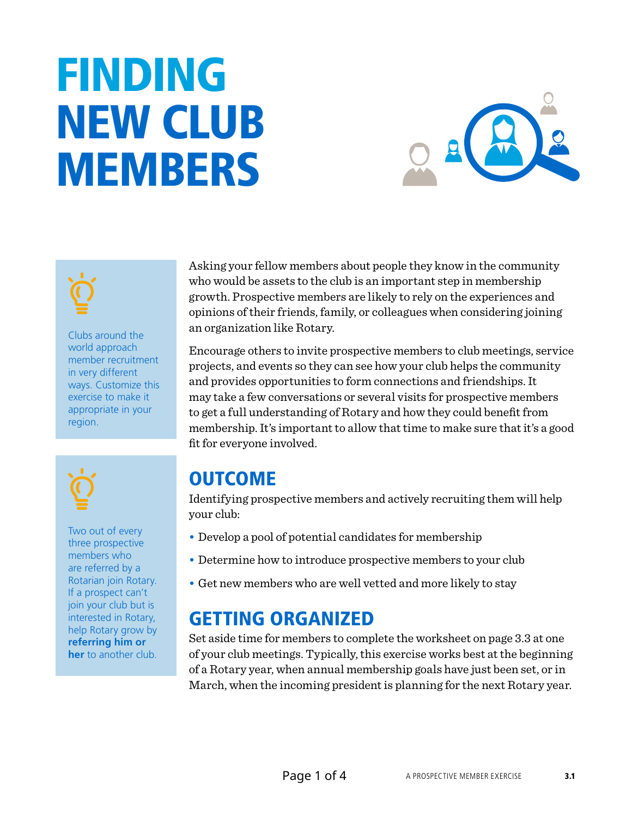# FINDING NEW CLUB MEMBERS





Clubs around the world approach member recruitment in very different ways. Customize this exercise to make it appropriate in your region.



Two out of every three prospective members who are referred by a Rotarian join Rotary. If a prospect can't join your club but is interested in Rotary, help Rotary grow by **[referring him or](https://www.rotary.org/myrotary/en/member-center/member-referral)  [her](https://www.rotary.org/myrotary/en/member-center/member-referral)** to another club.

Asking your fellow members about people they know in the community who would be assets to the club is an important step in membership growth. Prospective members are likely to rely on the experiences and opinions of their friends, family, or colleagues when considering joining an organization like Rotary.

Encourage others to invite prospective members to club meetings, service projects, and events so they can see how your club helps the community and provides opportunities to form connections and friendships. It may take a few conversations or several visits for prospective members to get a full understanding of Rotary and how they could benefit from membership. It's important to allow that time to make sure that it's a good fit for everyone involved.

# OUTCOME

Identifying prospective members and actively recruiting them will help your club:

- Develop a pool of potential candidates for membership
- Determine how to introduce prospective members to your club
- Get new members who are well vetted and more likely to stay

# GETTING ORGANIZED

Set aside time for members to complete the worksheet on page 3.3 at one of your club meetings. Typically, this exercise works best at the beginning of a Rotary year, when annual membership goals have just been set, or in March, when the incoming president is planning for the next Rotary year.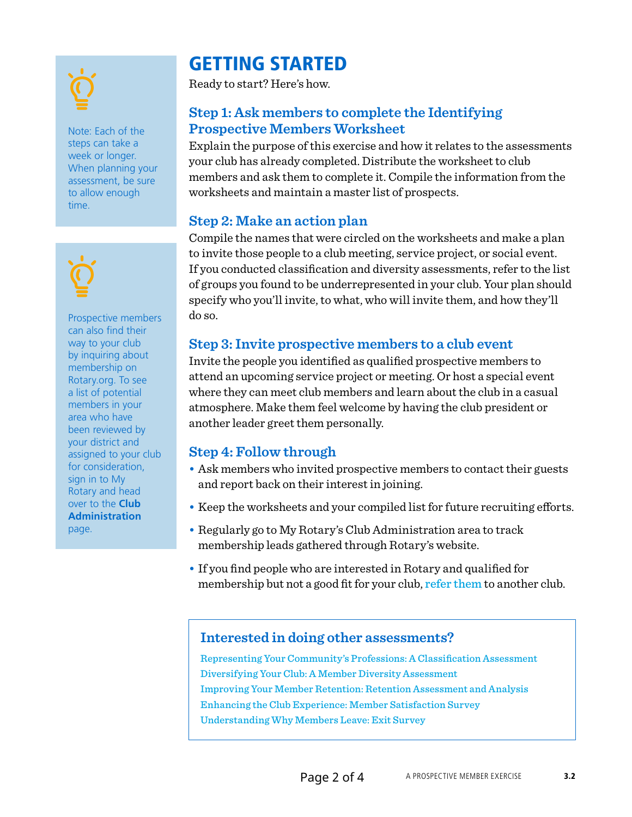Note: Each of the steps can take a week or longer. When planning your assessment, be sure to allow enough time.



Prospective members can also find their way to your club by inquiring about membership on Rotary.org. To see a list of potential members in your area who have been reviewed by your district and assigned to your club for consideration, sign in to My Rotary and head over to the **[Club](https://www.rotary.org/myrotary/en/manage/club-district-administration/826) [Administration](https://www.rotary.org/myrotary/en/manage/club-district-administration/826)** page.

## GETTING STARTED

Ready to start? Here's how.

### **Step 1: Ask members to complete the Identifying Prospective Members Worksheet**

Explain the purpose of this exercise and how it relates to the assessments your club has already completed. Distribute the worksheet to club members and ask them to complete it. Compile the information from the worksheets and maintain a master list of prospects.

#### **Step 2: Make an action plan**

Compile the names that were circled on the worksheets and make a plan to invite those people to a club meeting, service project, or social event. If you conducted classification and diversity assessments, refer to the list of groups you found to be underrepresented in your club. Your plan should specify who you'll invite, to what, who will invite them, and how they'll do so.

#### **Step 3: Invite prospective members to a club event**

Invite the people you identified as qualified prospective members to attend an upcoming service project or meeting. Or host a special event where they can meet club members and learn about the club in a casual atmosphere. Make them feel welcome by having the club president or another leader greet them personally.

#### **Step 4: Follow through**

- Ask members who invited prospective members to contact their guests and report back on their interest in joining.
- Keep the worksheets and your compiled list for future recruiting efforts.
- Regularly go to My Rotary's Club Administration area to track membership leads gathered through Rotary's website.
- If you find people who are interested in Rotary and qualified for membership but not a good fit for your club, refer [them](https://www.rotary.org/myrotary/en/member-center/member-referral) to another club.

#### **Interested in doing other assessments?**

[Representing Your Community's Professions: A Classification Assessment](https://www.rotary.org/myrotary/en/document/representing-your-communitys-professions-classification-assessment) [Diversifying Your Club: A Member Diversity Assessment](https://www.rotary.org/myrotary/en/document/diversifying-your-club-member-diversity-assessment) [Improving Your Member Retention: Retention Assessment and Analysis](https://www.rotary.org/myrotary/en/document/improving-your-member-retention-retention-assessment-and-analysis) [Enhancing the Club Experience: Member Satisfaction Survey](https://www.rotary.org/myrotary/en/document/enhancing-club-experience-member-satisfaction-survey) [Understanding Why Members Leave: Exit Survey](https://www.rotary.org/myrotary/en/document/understanding-why-members-resign-exit-survey)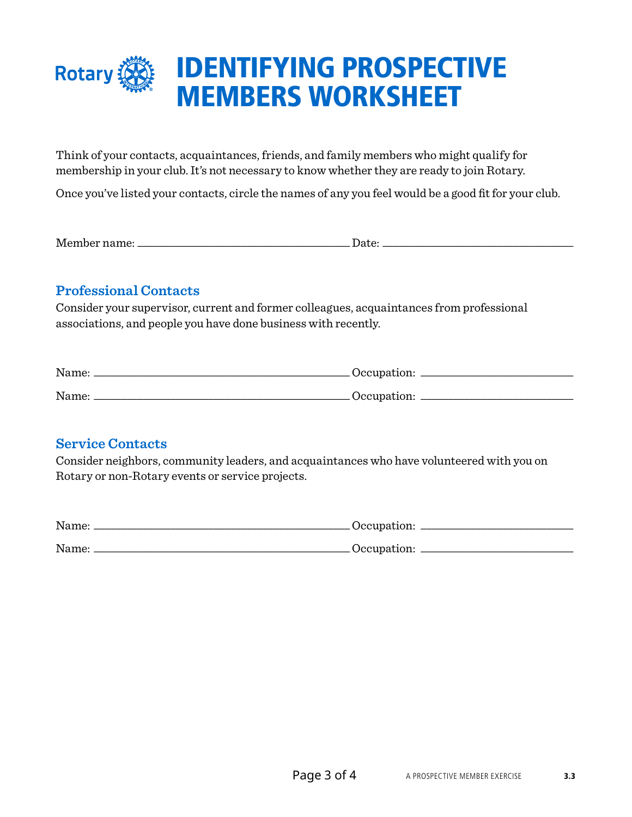

Think of your contacts, acquaintances, friends, and family members who might qualify for membership in your club. It's not necessary to know whether they are ready to join Rotary.

Once you've listed your contacts, circle the names of any you feel would be a good fit for your club.

Member name: \_\_\_\_\_\_\_\_\_\_\_\_\_\_\_\_\_\_\_\_\_\_\_\_\_\_\_\_\_\_\_\_\_\_\_\_\_\_\_ Date: \_\_\_\_\_\_\_\_\_\_\_\_\_\_\_\_\_\_\_\_\_\_\_\_\_\_\_\_\_\_\_\_\_\_\_

#### **Professional Contacts**

Consider your supervisor, current and former colleagues, acquaintances from professional associations, and people you have done business with recently.

| Name: | Occupation: |
|-------|-------------|
| Name: | Occupation: |

#### **Service Contacts**

Consider neighbors, community leaders, and acquaintances who have volunteered with you on Rotary or non-Rotary events or service projects.

| Name: | .Occupation: |
|-------|--------------|
| Name: | Occupation:  |